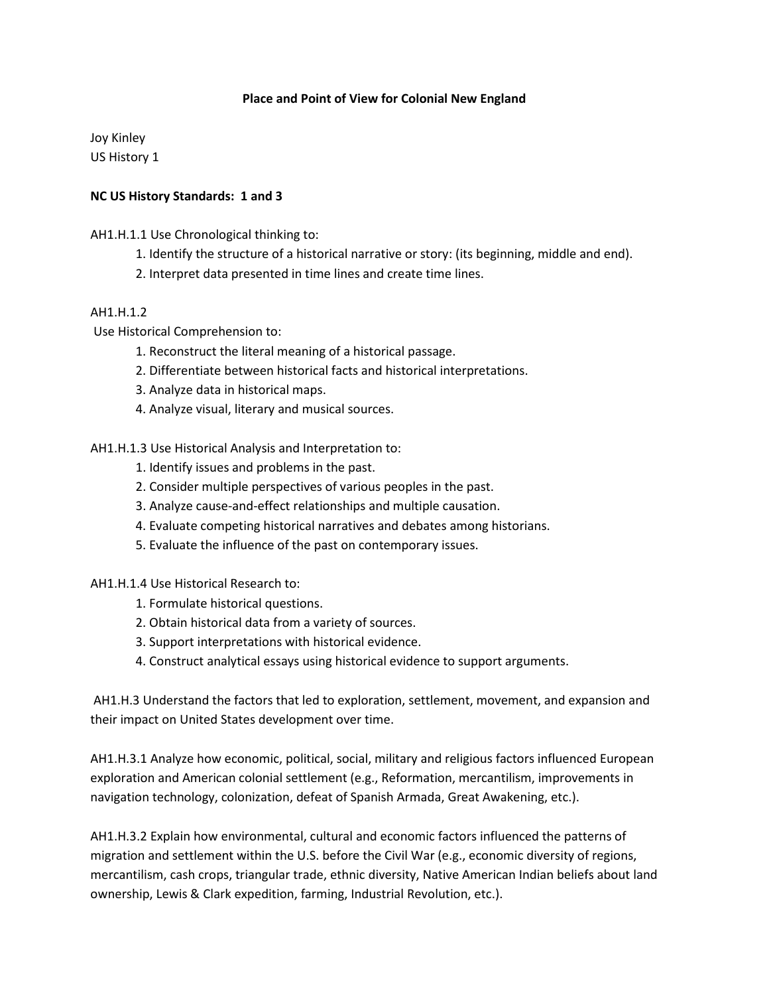## **Place and Point of View for Colonial New England**

Joy Kinley US History 1

## **NC US History Standards: 1 and 3**

AH1.H.1.1 Use Chronological thinking to:

- 1. Identify the structure of a historical narrative or story: (its beginning, middle and end).
- 2. Interpret data presented in time lines and create time lines.

## AH1.H.1.2

Use Historical Comprehension to:

- 1. Reconstruct the literal meaning of a historical passage.
- 2. Differentiate between historical facts and historical interpretations.
- 3. Analyze data in historical maps.
- 4. Analyze visual, literary and musical sources.

AH1.H.1.3 Use Historical Analysis and Interpretation to:

- 1. Identify issues and problems in the past.
- 2. Consider multiple perspectives of various peoples in the past.
- 3. Analyze cause-and-effect relationships and multiple causation.
- 4. Evaluate competing historical narratives and debates among historians.
- 5. Evaluate the influence of the past on contemporary issues.

AH1.H.1.4 Use Historical Research to:

- 1. Formulate historical questions.
- 2. Obtain historical data from a variety of sources.
- 3. Support interpretations with historical evidence.
- 4. Construct analytical essays using historical evidence to support arguments.

AH1.H.3 Understand the factors that led to exploration, settlement, movement, and expansion and their impact on United States development over time.

AH1.H.3.1 Analyze how economic, political, social, military and religious factors influenced European exploration and American colonial settlement (e.g., Reformation, mercantilism, improvements in navigation technology, colonization, defeat of Spanish Armada, Great Awakening, etc.).

AH1.H.3.2 Explain how environmental, cultural and economic factors influenced the patterns of migration and settlement within the U.S. before the Civil War (e.g., economic diversity of regions, mercantilism, cash crops, triangular trade, ethnic diversity, Native American Indian beliefs about land ownership, Lewis & Clark expedition, farming, Industrial Revolution, etc.).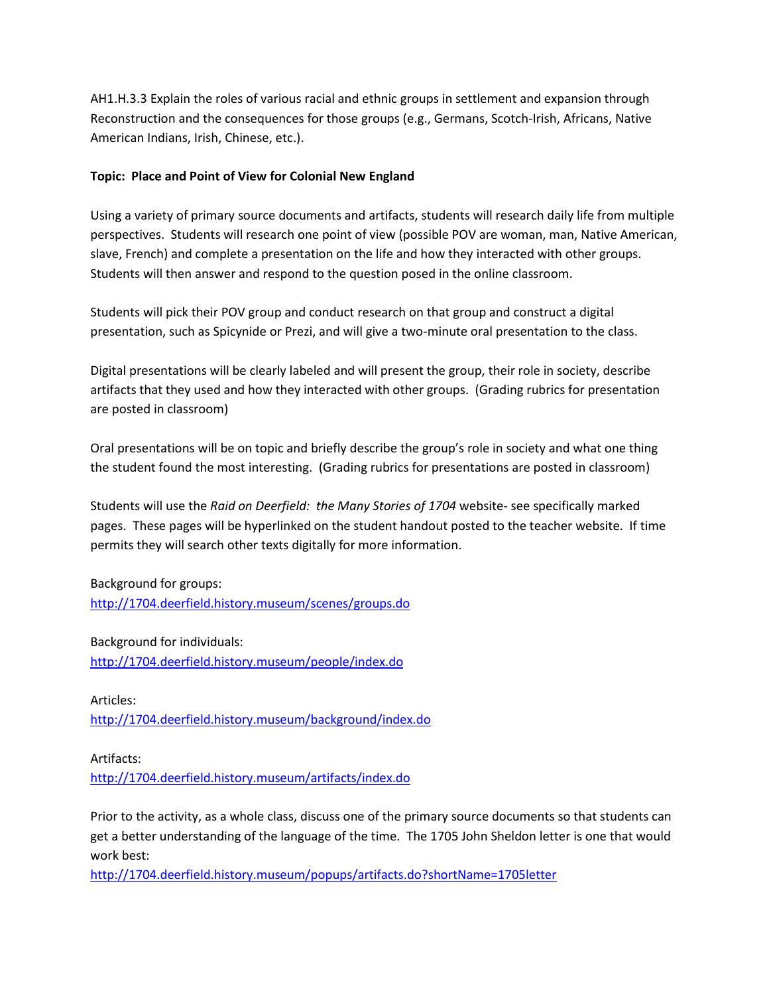AH1.H.3.3 Explain the roles of various racial and ethnic groups in settlement and expansion through Reconstruction and the consequences for those groups (e.g., Germans, Scotch-Irish, Africans, Native American Indians, Irish, Chinese, etc.).

## **Topic: Place and Point of View for Colonial New England**

Using a variety of primary source documents and artifacts, students will research daily life from multiple perspectives. Students will research one point of view (possible POV are woman, man, Native American, slave, French) and complete a presentation on the life and how they interacted with other groups. Students will then answer and respond to the question posed in the online classroom.

Students will pick their POV group and conduct research on that group and construct a digital presentation, such as Spicynide or Prezi, and will give a two-minute oral presentation to the class.

Digital presentations will be clearly labeled and will present the group, their role in society, describe artifacts that they used and how they interacted with other groups. (Grading rubrics for presentation are posted in classroom)

Oral presentations will be on topic and briefly describe the group's role in society and what one thing the student found the most interesting. (Grading rubrics for presentations are posted in classroom)

Students will use the *Raid on Deerfield: the Many Stories of 1704* website- see specifically marked pages. These pages will be hyperlinked on the student handout posted to the teacher website. If time permits they will search other texts digitally for more information.

Background for groups: <http://1704.deerfield.history.museum/scenes/groups.do>

Background for individuals: <http://1704.deerfield.history.museum/people/index.do>

Articles: <http://1704.deerfield.history.museum/background/index.do>

Artifacts: <http://1704.deerfield.history.museum/artifacts/index.do>

Prior to the activity, as a whole class, discuss one of the primary source documents so that students can get a better understanding of the language of the time. The 1705 John Sheldon letter is one that would work best:

<http://1704.deerfield.history.museum/popups/artifacts.do?shortName=1705letter>